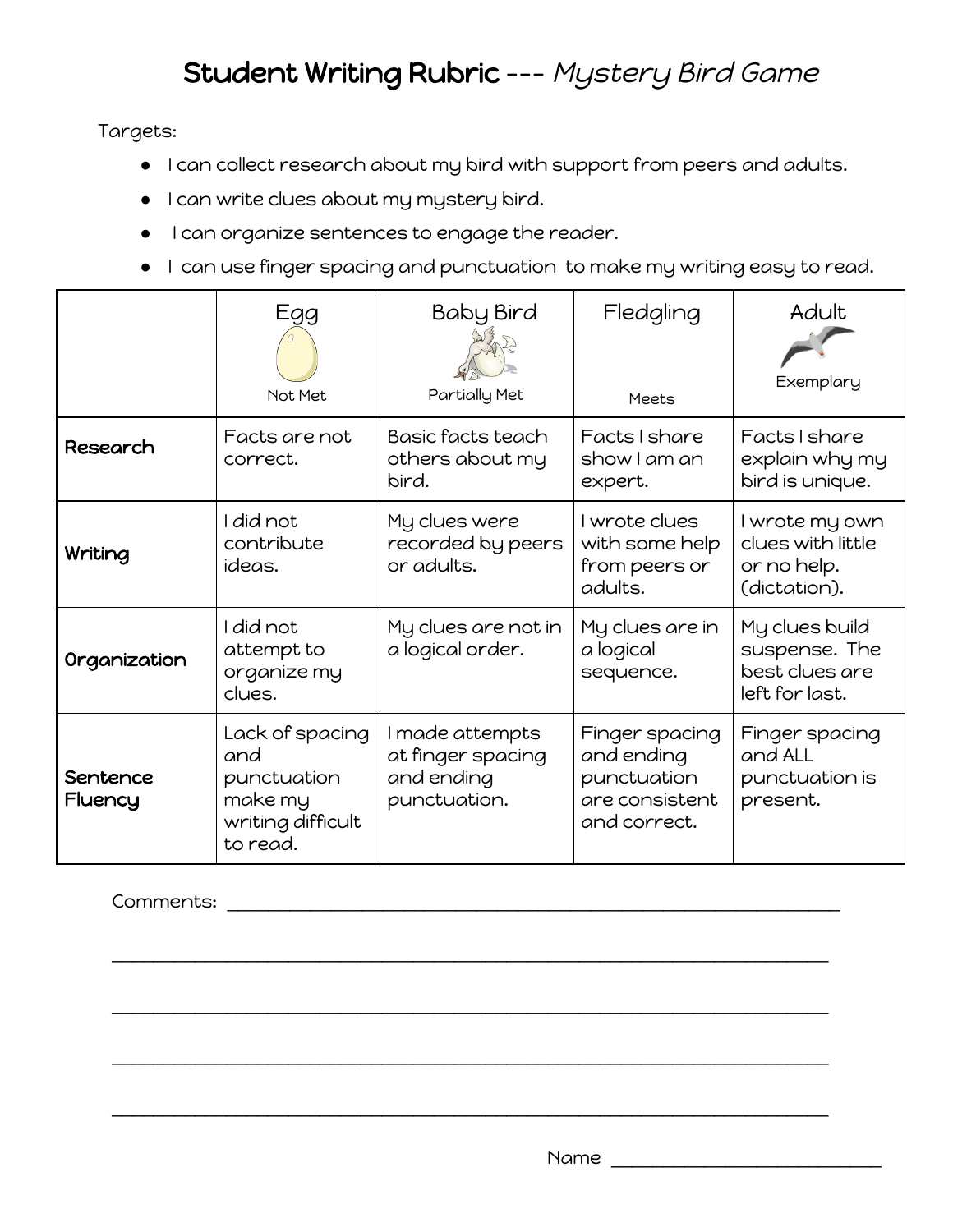## Student Writing Rubric --- Mystery Bird Game

Targets:

- I can collect research about my bird with support from peers and adults.
- I can write clues about my mystery bird.
- I can organize sentences to engage the reader.
- I can use finger spacing and punctuation to make my writing easy to read.

|                     | Egg<br>Not Met                                                                    | <b>Baby Bird</b><br>Partially Met                                  | Fledgling<br><b>Meets</b>                                                     | Adult<br>Exemplary                                                  |
|---------------------|-----------------------------------------------------------------------------------|--------------------------------------------------------------------|-------------------------------------------------------------------------------|---------------------------------------------------------------------|
| <b>Research</b>     | Facts are not<br>correct.                                                         | Basic facts teach<br>others about my<br>bird.                      | Facts I share<br>show I am an<br>expert.                                      | Facts I share<br>explain why my<br>bird is unique.                  |
| Writing             | I did not<br>contribute<br>ideas.                                                 | My clues were<br>recorded by peers<br>or adults.                   | I wrote clues<br>with some help<br>from peers or<br>adults.                   | I wrote my own<br>clues with little<br>or no help.<br>(dictation).  |
| Organization        | I did not<br>attempt to<br>organize my<br>clues.                                  | My clues are not in<br>a logical order.                            | My clues are in<br>a logical<br>sequence.                                     | My clues build<br>suspense. The<br>best clues are<br>left for last. |
| Sentence<br>Fluency | Lack of spacing<br>and<br>punctuation<br>make my<br>writing difficult<br>to read. | I made attempts<br>at finger spacing<br>and ending<br>punctuation. | Finger spacing<br>and ending<br>punctuation<br>are consistent<br>and correct. | Finger spacing<br>and ALL<br>punctuation is<br>present.             |

\_\_\_\_\_\_\_\_\_\_\_\_\_\_\_\_\_\_\_\_\_\_\_\_\_\_\_\_\_\_\_\_\_\_\_\_\_\_\_\_\_\_\_\_\_\_\_\_\_\_\_\_\_\_\_\_\_\_\_\_\_\_\_\_\_\_\_\_\_

\_\_\_\_\_\_\_\_\_\_\_\_\_\_\_\_\_\_\_\_\_\_\_\_\_\_\_\_\_\_\_\_\_\_\_\_\_\_\_\_\_\_\_\_\_\_\_\_\_\_\_\_\_\_\_\_\_\_\_\_\_\_\_\_\_\_\_\_\_

\_\_\_\_\_\_\_\_\_\_\_\_\_\_\_\_\_\_\_\_\_\_\_\_\_\_\_\_\_\_\_\_\_\_\_\_\_\_\_\_\_\_\_\_\_\_\_\_\_\_\_\_\_\_\_\_\_\_\_\_\_\_\_\_\_\_\_\_\_

\_\_\_\_\_\_\_\_\_\_\_\_\_\_\_\_\_\_\_\_\_\_\_\_\_\_\_\_\_\_\_\_\_\_\_\_\_\_\_\_\_\_\_\_\_\_\_\_\_\_\_\_\_\_\_\_\_\_\_\_\_\_\_\_\_\_\_\_\_

Comments: \_\_\_\_\_\_\_\_\_\_\_\_\_\_\_\_\_\_\_\_\_\_\_\_\_\_\_\_\_\_\_\_\_\_\_\_\_\_\_\_\_\_\_\_\_\_\_\_\_\_\_\_\_\_\_\_\_\_\_

 $Name$